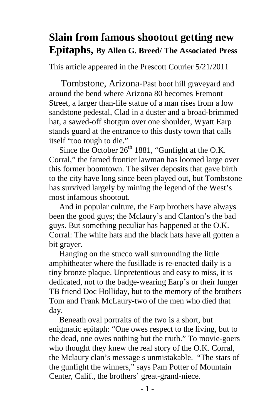## **Slain from famous shootout getting new Epitaphs, By Allen G. Breed/ The Associated Press**

This article appeared in the Prescott Courier 5/21/2011

 Tombstone, Arizona-Past boot hill graveyard and around the bend where Arizona 80 becomes Fremont Street, a larger than-life statue of a man rises from a low sandstone pedestal, Clad in a duster and a broad-brimmed hat, a sawed-off shotgun over one shoulder, Wyatt Earp stands guard at the entrance to this dusty town that calls itself "too tough to die."

Since the October  $26<sup>th</sup> 1881$ , "Gunfight at the O.K. Corral," the famed frontier lawman has loomed large over this former boomtown. The silver deposits that gave birth to the city have long since been played out, but Tombstone has survived largely by mining the legend of the West's most infamous shootout.

 And in popular culture, the Earp brothers have always been the good guys; the Mclaury's and Clanton's the bad guys. But something peculiar has happened at the O.K. Corral: The white hats and the black hats have all gotten a bit grayer.

 Hanging on the stucco wall surrounding the little amphitheater where the fusillade is re-enacted daily is a tiny bronze plaque. Unpretentious and easy to miss, it is dedicated, not to the badge-wearing Earp's or their lunger TB friend Doc Holliday, but to the memory of the brothers Tom and Frank McLaury-two of the men who died that day.

 Beneath oval portraits of the two is a short, but enigmatic epitaph: "One owes respect to the living, but to the dead, one owes nothing but the truth." To movie-goers who thought they knew the real story of the O.K. Corral, the Mclaury clan's message s unmistakable. "The stars of the gunfight the winners," says Pam Potter of Mountain Center, Calif., the brothers' great-grand-niece.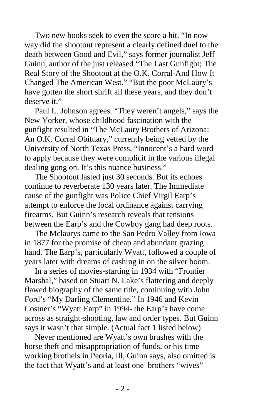Two new books seek to even the score a hit. "In now way did the shootout represent a clearly defined duel to the death between Good and Evil," says former journalist Jeff Guinn, author of the just released "The Last Gunfight; The Real Story of the Shootout at the O.K. Corral-And How It Changed The American West." "But the poor McLaury's have gotten the short shrift all these years, and they don't deserve it."

 Paul L. Johnson agrees. "They weren't angels," says the New Yorker, whose childhood fascination with the gunfight resulted in "The McLaury Brothers of Arizona: An O.K. Corral Obituary," currently being vetted by the University of North Texas Press, "Innocent's a hard word to apply because they were complicit in the various illegal dealing gong on. It's this nuance business."

 The Shootout lasted just 30 seconds. But its echoes continue to reverberate 130 years later. The Immediate cause of the gunfight was Police Chief Virgil Earp's attempt to enforce the local ordinance against carrying firearms. But Guinn's research reveals that tensions between the Earp's and the Cowboy gang had deep roots.

 The Mclaurys came to the San Pedro Valley from Iowa in 1877 for the promise of cheap and abundant grazing hand. The Earp's, particularly Wyatt, followed a couple of years later with dreams of cashing in on the silver boom.

 In a series of movies-starting in 1934 with "Frontier Marshal," based on Stuart N. Lake's flattering and deeply flawed biography of the same title, continuing with John Ford's "My Darling Clementine." In 1946 and Kevin Costner's "Wyatt Earp" in 1994- the Earp's have come across as straight-shooting, law and order types. But Guinn says it wasn't that simple. (Actual fact 1 listed below)

 Never mentioned are Wyatt's own brushes with the horse theft and misappropriation of funds, or his time working brothels in Peoria, Ill, Guinn says, also omitted is the fact that Wyatt's and at least one brothers "wives"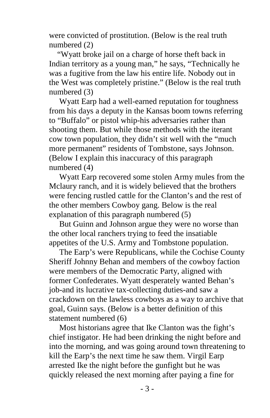were convicted of prostitution. (Below is the real truth numbered (2)

 "Wyatt broke jail on a charge of horse theft back in Indian territory as a young man," he says, "Technically he was a fugitive from the law his entire life. Nobody out in the West was completely pristine." (Below is the real truth numbered (3)

 Wyatt Earp had a well-earned reputation for toughness from his days a deputy in the Kansas boom towns referring to "Buffalo" or pistol whip-his adversaries rather than shooting them. But while those methods with the iterant cow town population, they didn't sit well with the "much more permanent" residents of Tombstone, says Johnson. (Below I explain this inaccuracy of this paragraph numbered (4)

 Wyatt Earp recovered some stolen Army mules from the Mclaury ranch, and it is widely believed that the brothers were fencing rustled cattle for the Clanton's and the rest of the other members Cowboy gang. Below is the real explanation of this paragraph numbered (5)

 But Guinn and Johnson argue they were no worse than the other local ranchers trying to feed the insatiable appetites of the U.S. Army and Tombstone population.

 The Earp's were Republicans, while the Cochise County Sheriff Johnny Behan and members of the cowboy faction were members of the Democratic Party, aligned with former Confederates. Wyatt desperately wanted Behan's job-and its lucrative tax-collecting duties-and saw a crackdown on the lawless cowboys as a way to archive that goal, Guinn says. (Below is a better definition of this statement numbered (6)

 Most historians agree that Ike Clanton was the fight's chief instigator. He had been drinking the night before and into the morning, and was going around town threatening to kill the Earp's the next time he saw them. Virgil Earp arrested Ike the night before the gunfight but he was quickly released the next morning after paying a fine for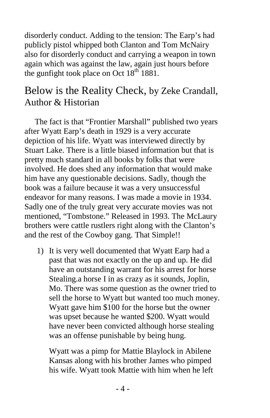disorderly conduct. Adding to the tension: The Earp's had publicly pistol whipped both Clanton and Tom McNairy also for disorderly conduct and carrying a weapon in town again which was against the law, again just hours before the gunfight took place on Oct  $18<sup>th</sup> 1881$ .

## Below is the Reality Check, by Zeke Crandall, Author & Historian

 The fact is that "Frontier Marshall" published two years after Wyatt Earp's death in 1929 is a very accurate depiction of his life. Wyatt was interviewed directly by Stuart Lake. There is a little biased information but that is pretty much standard in all books by folks that were involved. He does shed any information that would make him have any questionable decisions. Sadly, though the book was a failure because it was a very unsuccessful endeavor for many reasons. I was made a movie in 1934. Sadly one of the truly great very accurate movies was not mentioned, "Tombstone." Released in 1993. The McLaury brothers were cattle rustlers right along with the Clanton's and the rest of the Cowboy gang. That Simple!!

1) It is very well documented that Wyatt Earp had a past that was not exactly on the up and up. He did have an outstanding warrant for his arrest for horse Stealing.a horse I in as crazy as it sounds, Joplin, Mo. There was some question as the owner tried to sell the horse to Wyatt but wanted too much money. Wyatt gave him \$100 for the horse but the owner was upset because he wanted \$200. Wyatt would have never been convicted although horse stealing was an offense punishable by being hung.

 Wyatt was a pimp for Mattie Blaylock in Abilene Kansas along with his brother James who pimped his wife. Wyatt took Mattie with him when he left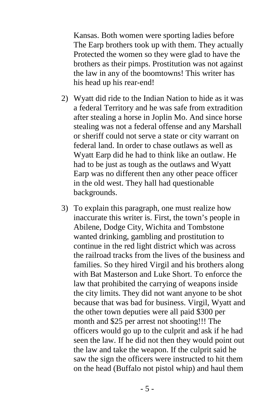Kansas. Both women were sporting ladies before The Earp brothers took up with them. They actually Protected the women so they were glad to have the brothers as their pimps. Prostitution was not against the law in any of the boomtowns! This writer has his head up his rear-end!

- 2) Wyatt did ride to the Indian Nation to hide as it was a federal Territory and he was safe from extradition after stealing a horse in Joplin Mo. And since horse stealing was not a federal offense and any Marshall or sheriff could not serve a state or city warrant on federal land. In order to chase outlaws as well as Wyatt Earp did he had to think like an outlaw. He had to be just as tough as the outlaws and Wyatt Earp was no different then any other peace officer in the old west. They hall had questionable backgrounds.
- 3) To explain this paragraph, one must realize how inaccurate this writer is. First, the town's people in Abilene, Dodge City, Wichita and Tombstone wanted drinking, gambling and prostitution to continue in the red light district which was across the railroad tracks from the lives of the business and families. So they hired Virgil and his brothers along with Bat Masterson and Luke Short. To enforce the law that prohibited the carrying of weapons inside the city limits. They did not want anyone to be shot because that was bad for business. Virgil, Wyatt and the other town deputies were all paid \$300 per month and \$25 per arrest not shooting!!! The officers would go up to the culprit and ask if he had seen the law. If he did not then they would point out the law and take the weapon. If the culprit said he saw the sign the officers were instructed to hit them on the head (Buffalo not pistol whip) and haul them